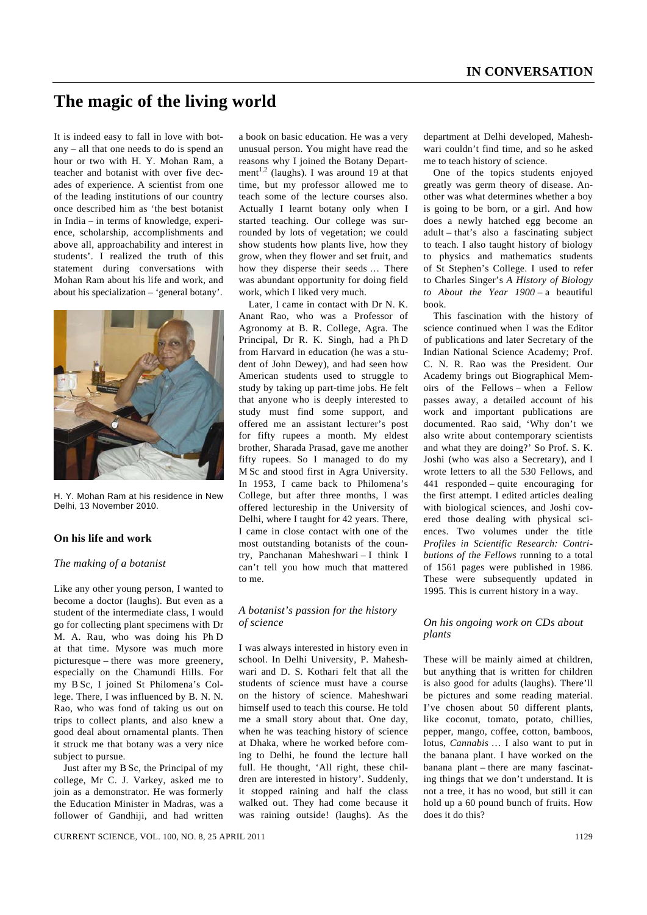# **The magic of the living world**

It is indeed easy to fall in love with botany – all that one needs to do is spend an hour or two with H. Y. Mohan Ram, a teacher and botanist with over five decades of experience. A scientist from one of the leading institutions of our country once described him as 'the best botanist in India – in terms of knowledge, experience, scholarship, accomplishments and above all, approachability and interest in students'. I realized the truth of this statement during conversations with Mohan Ram about his life and work, and about his specialization – 'general botany'.



H. Y. Mohan Ram at his residence in New Delhi, 13 November 2010.

## **On his life and work**

#### *The making of a botanist*

Like any other young person, I wanted to become a doctor (laughs). But even as a student of the intermediate class, I would go for collecting plant specimens with Dr M. A. Rau, who was doing his Ph D at that time. Mysore was much more picturesque – there was more greenery, especially on the Chamundi Hills. For my B Sc, I joined St Philomena's College. There, I was influenced by B. N. N. Rao, who was fond of taking us out on trips to collect plants, and also knew a good deal about ornamental plants. Then it struck me that botany was a very nice subject to pursue.

 Just after my B Sc, the Principal of my college, Mr C. J. Varkey, asked me to join as a demonstrator. He was formerly the Education Minister in Madras, was a follower of Gandhiii, and had written

a book on basic education. He was a very unusual person. You might have read the reasons why I joined the Botany Department<sup>1,2</sup> (laughs). I was around 19 at that time, but my professor allowed me to teach some of the lecture courses also. Actually I learnt botany only when I started teaching. Our college was surrounded by lots of vegetation; we could show students how plants live, how they grow, when they flower and set fruit, and how they disperse their seeds … There was abundant opportunity for doing field work, which I liked very much.

 Later, I came in contact with Dr N. K. Anant Rao, who was a Professor of Agronomy at B. R. College, Agra. The Principal, Dr R. K. Singh, had a Ph D from Harvard in education (he was a student of John Dewey), and had seen how American students used to struggle to study by taking up part-time jobs. He felt that anyone who is deeply interested to study must find some support, and offered me an assistant lecturer's post for fifty rupees a month. My eldest brother, Sharada Prasad, gave me another fifty rupees. So I managed to do my M Sc and stood first in Agra University. In 1953, I came back to Philomena's College, but after three months, I was offered lectureship in the University of Delhi, where I taught for 42 years. There, I came in close contact with one of the most outstanding botanists of the country, Panchanan Maheshwari – I think I can't tell you how much that mattered to me.

## *A botanist's passion for the history of science*

I was always interested in history even in school. In Delhi University, P. Maheshwari and D. S. Kothari felt that all the students of science must have a course on the history of science. Maheshwari himself used to teach this course. He told me a small story about that. One day, when he was teaching history of science at Dhaka, where he worked before coming to Delhi, he found the lecture hall full. He thought, 'All right, these children are interested in history'. Suddenly, it stopped raining and half the class walked out. They had come because it was raining outside! (laughs). As the department at Delhi developed, Maheshwari couldn't find time, and so he asked me to teach history of science.

 One of the topics students enjoyed greatly was germ theory of disease. Another was what determines whether a boy is going to be born, or a girl. And how does a newly hatched egg become an adult – that's also a fascinating subject to teach. I also taught history of biology to physics and mathematics students of St Stephen's College. I used to refer to Charles Singer's *A History of Biology to About the Year 1900 – a beautiful* book.

 This fascination with the history of science continued when I was the Editor of publications and later Secretary of the Indian National Science Academy; Prof. C. N. R. Rao was the President. Our Academy brings out Biographical Memoirs of the Fellows – when a Fellow passes away, a detailed account of his work and important publications are documented. Rao said, 'Why don't we also write about contemporary scientists and what they are doing?' So Prof. S. K. Joshi (who was also a Secretary), and I wrote letters to all the 530 Fellows, and 441 responded – quite encouraging for the first attempt. I edited articles dealing with biological sciences, and Joshi covered those dealing with physical sciences. Two volumes under the title *Profiles in Scientific Research: Contributions of the Fellows* running to a total of 1561 pages were published in 1986. These were subsequently updated in 1995. This is current history in a way.

#### *On his ongoing work on CDs about plants*

These will be mainly aimed at children, but anything that is written for children is also good for adults (laughs). There'll be pictures and some reading material. I've chosen about 50 different plants, like coconut, tomato, potato, chillies, pepper, mango, coffee, cotton, bamboos, lotus, *Cannabis* … I also want to put in the banana plant. I have worked on the banana plant – there are many fascinating things that we don't understand. It is not a tree, it has no wood, but still it can hold up a 60 pound bunch of fruits. How does it do this?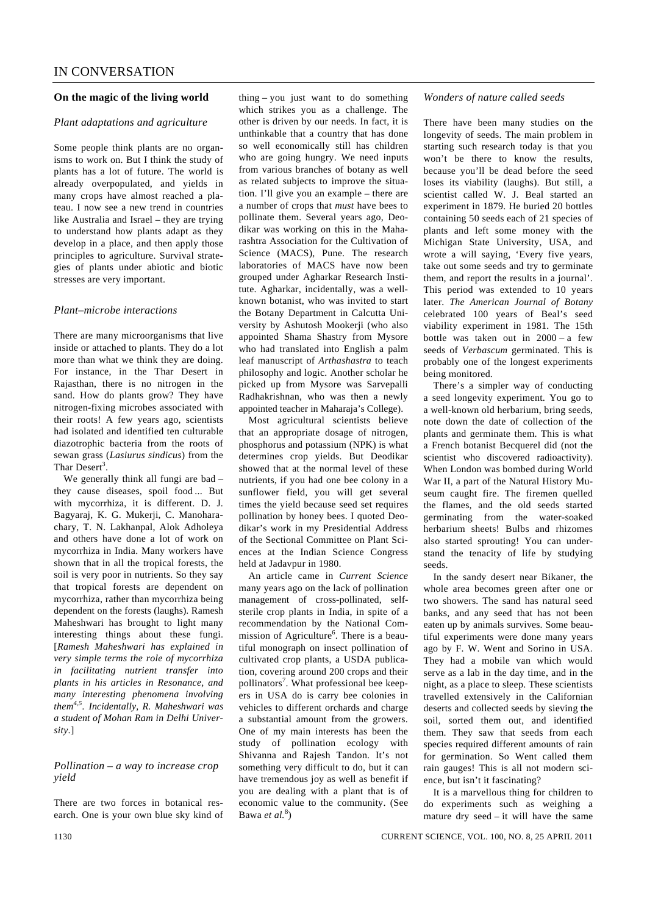# **On the magic of the living world**

## *Plant adaptations and agriculture*

Some people think plants are no organisms to work on. But I think the study of plants has a lot of future. The world is already overpopulated, and yields in many crops have almost reached a plateau. I now see a new trend in countries like Australia and Israel – they are trying to understand how plants adapt as they develop in a place, and then apply those principles to agriculture. Survival strategies of plants under abiotic and biotic stresses are very important.

#### *Plant–microbe interactions*

There are many microorganisms that live inside or attached to plants. They do a lot more than what we think they are doing. For instance, in the Thar Desert in Rajasthan, there is no nitrogen in the sand. How do plants grow? They have nitrogen-fixing microbes associated with their roots! A few years ago, scientists had isolated and identified ten culturable diazotrophic bacteria from the roots of sewan grass (*Lasiurus sindicus*) from the Thar Desert<sup>3</sup>.

We generally think all fungi are bad – they cause diseases, spoil food ... But with mycorrhiza, it is different. D. J. Bagyaraj, K. G. Mukerji, C. Manoharachary, T. N. Lakhanpal, Alok Adholeya and others have done a lot of work on mycorrhiza in India. Many workers have shown that in all the tropical forests, the soil is very poor in nutrients. So they say that tropical forests are dependent on mycorrhiza, rather than mycorrhiza being dependent on the forests (laughs). Ramesh Maheshwari has brought to light many interesting things about these fungi. [*Ramesh Maheshwari has explained in very simple terms the role of mycorrhiza in facilitating nutrient transfer into plants in his articles in Resonance, and many interesting phenomena involving them4,5. Incidentally, R. Maheshwari was a student of Mohan Ram in Delhi University*.]

#### *Pollination – a way to increase crop yield*

There are two forces in botanical research. One is your own blue sky kind of thing – you just want to do something which strikes you as a challenge. The other is driven by our needs. In fact, it is unthinkable that a country that has done so well economically still has children who are going hungry. We need inputs from various branches of botany as well as related subjects to improve the situation. I'll give you an example – there are a number of crops that *must* have bees to pollinate them. Several years ago, Deodikar was working on this in the Maharashtra Association for the Cultivation of Science (MACS), Pune. The research laboratories of MACS have now been grouped under Agharkar Research Institute. Agharkar, incidentally, was a wellknown botanist, who was invited to start the Botany Department in Calcutta University by Ashutosh Mookerji (who also appointed Shama Shastry from Mysore who had translated into English a palm leaf manuscript of *Arthashastra* to teach philosophy and logic. Another scholar he picked up from Mysore was Sarvepalli Radhakrishnan, who was then a newly appointed teacher in Maharaja's College).

 Most agricultural scientists believe that an appropriate dosage of nitrogen, phosphorus and potassium (NPK) is what determines crop yields. But Deodikar showed that at the normal level of these nutrients, if you had one bee colony in a sunflower field, you will get several times the yield because seed set requires pollination by honey bees. I quoted Deodikar's work in my Presidential Address of the Sectional Committee on Plant Sciences at the Indian Science Congress held at Jadavpur in 1980.

 An article came in *Current Science* many years ago on the lack of pollination management of cross-pollinated, selfsterile crop plants in India, in spite of a recommendation by the National Commission of Agriculture<sup>6</sup>. There is a beautiful monograph on insect pollination of cultivated crop plants, a USDA publication, covering around 200 crops and their pollinators<sup>7</sup>. What professional bee keepers in USA do is carry bee colonies in vehicles to different orchards and charge a substantial amount from the growers. One of my main interests has been the study of pollination ecology with Shivanna and Rajesh Tandon. It's not something very difficult to do, but it can have tremendous joy as well as benefit if you are dealing with a plant that is of economic value to the community. (See Bawa et al.<sup>8</sup>)

#### *Wonders of nature called seeds*

There have been many studies on the longevity of seeds. The main problem in starting such research today is that you won't be there to know the results, because you'll be dead before the seed loses its viability (laughs). But still, a scientist called W. J. Beal started an experiment in 1879. He buried 20 bottles containing 50 seeds each of 21 species of plants and left some money with the Michigan State University, USA, and wrote a will saying, 'Every five years, take out some seeds and try to germinate them, and report the results in a journal'. This period was extended to 10 years later. *The American Journal of Botany* celebrated 100 years of Beal's seed viability experiment in 1981. The 15th bottle was taken out in 2000 – a few seeds of *Verbascum* germinated. This is probably one of the longest experiments being monitored.

 There's a simpler way of conducting a seed longevity experiment. You go to a well-known old herbarium, bring seeds, note down the date of collection of the plants and germinate them. This is what a French botanist Becquerel did (not the scientist who discovered radioactivity). When London was bombed during World War II, a part of the Natural History Museum caught fire. The firemen quelled the flames, and the old seeds started germinating from the water-soaked herbarium sheets! Bulbs and rhizomes also started sprouting! You can understand the tenacity of life by studying seeds.

 In the sandy desert near Bikaner, the whole area becomes green after one or two showers. The sand has natural seed banks, and any seed that has not been eaten up by animals survives. Some beautiful experiments were done many years ago by F. W. Went and Sorino in USA. They had a mobile van which would serve as a lab in the day time, and in the night, as a place to sleep. These scientists travelled extensively in the Californian deserts and collected seeds by sieving the soil, sorted them out, and identified them. They saw that seeds from each species required different amounts of rain for germination. So Went called them rain gauges! This is all not modern science, but isn't it fascinating?

 It is a marvellous thing for children to do experiments such as weighing a mature dry seed – it will have the same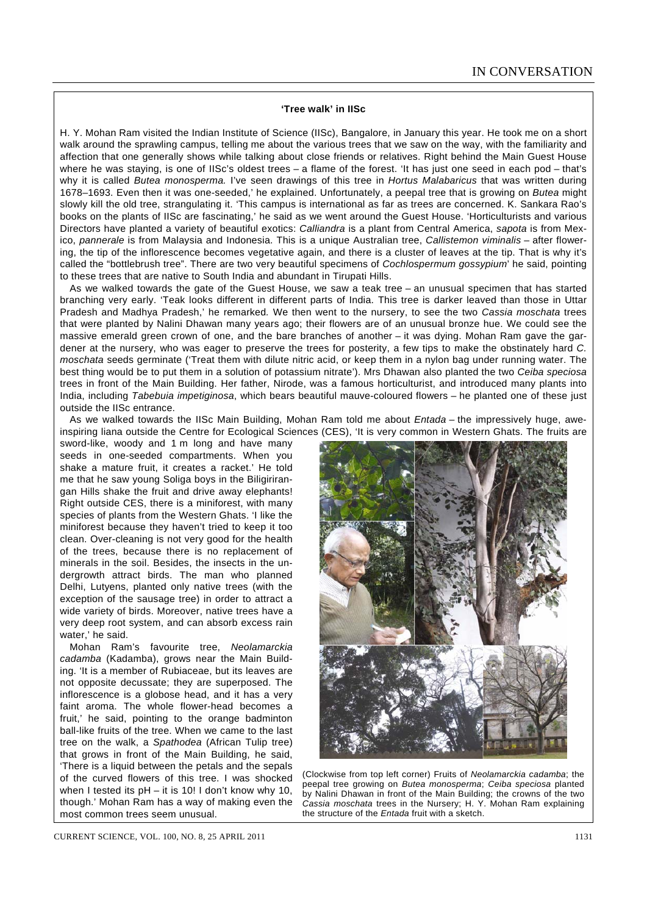#### **'Tree walk' in IISc**

H. Y. Mohan Ram visited the Indian Institute of Science (IISc), Bangalore, in January this year. He took me on a short walk around the sprawling campus, telling me about the various trees that we saw on the way, with the familiarity and affection that one generally shows while talking about close friends or relatives. Right behind the Main Guest House where he was staying, is one of IISc's oldest trees – a flame of the forest. 'It has just one seed in each pod – that's why it is called *Butea monosperma.* I've seen drawings of this tree in *Hortus Malabaricus* that was written during 1678–1693. Even then it was one-seeded,' he explained. Unfortunately, a peepal tree that is growing on *Butea* might slowly kill the old tree, strangulating it. 'This campus is international as far as trees are concerned. K. Sankara Rao's books on the plants of IISc are fascinating,' he said as we went around the Guest House. 'Horticulturists and various Directors have planted a variety of beautiful exotics: *Calliandra* is a plant from Central America, *sapota* is from Mexico, *pannerale* is from Malaysia and Indonesia. This is a unique Australian tree, *Callistemon viminalis* – after flowering, the tip of the inflorescence becomes vegetative again, and there is a cluster of leaves at the tip. That is why it's called the "bottlebrush tree". There are two very beautiful specimens of *Cochlospermum gossypium*' he said, pointing to these trees that are native to South India and abundant in Tirupati Hills.

 As we walked towards the gate of the Guest House, we saw a teak tree – an unusual specimen that has started branching very early. 'Teak looks different in different parts of India. This tree is darker leaved than those in Uttar Pradesh and Madhya Pradesh,' he remarked*.* We then went to the nursery, to see the two *Cassia moschata* trees that were planted by Nalini Dhawan many years ago; their flowers are of an unusual bronze hue. We could see the massive emerald green crown of one, and the bare branches of another – it was dying. Mohan Ram gave the gardener at the nursery, who was eager to preserve the trees for posterity, a few tips to make the obstinately hard *C. moschata* seeds germinate ('Treat them with dilute nitric acid, or keep them in a nylon bag under running water. The best thing would be to put them in a solution of potassium nitrate'). Mrs Dhawan also planted the two *Ceiba speciosa* trees in front of the Main Building. Her father, Nirode, was a famous horticulturist, and introduced many plants into India, including *Tabebuia impetiginosa*, which bears beautiful mauve-coloured flowers – he planted one of these just outside the IISc entrance.

 As we walked towards the IISc Main Building, Mohan Ram told me about *Entada –* the impressively huge, aweinspiring liana outside the Centre for Ecological Sciences (CES), 'It is very common in Western Ghats. The fruits are

sword-like, woody and 1 m long and have many seeds in one-seeded compartments. When you shake a mature fruit, it creates a racket.' He told me that he saw young Soliga boys in the Biligirirangan Hills shake the fruit and drive away elephants! Right outside CES, there is a miniforest, with many species of plants from the Western Ghats. 'I like the miniforest because they haven't tried to keep it too clean. Over-cleaning is not very good for the health of the trees, because there is no replacement of minerals in the soil. Besides, the insects in the undergrowth attract birds. The man who planned Delhi, Lutyens, planted only native trees (with the exception of the sausage tree) in order to attract a wide variety of birds. Moreover, native trees have a very deep root system, and can absorb excess rain water,' he said.

 Mohan Ram's favourite tree, *Neolamarckia cadamba* (Kadamba), grows near the Main Building. 'It is a member of Rubiaceae, but its leaves are not opposite decussate; they are superposed. The inflorescence is a globose head, and it has a very faint aroma. The whole flower-head becomes a fruit,' he said, pointing to the orange badminton ball-like fruits of the tree. When we came to the last tree on the walk, a *Spathodea* (African Tulip tree) that grows in front of the Main Building, he said, 'There is a liquid between the petals and the sepals of the curved flowers of this tree. I was shocked when I tested its  $pH - it$  is 10! I don't know why 10, though.' Mohan Ram has a way of making even the most common trees seem unusual.



(Clockwise from top left corner) Fruits of *Neolamarckia cadamba*; the peepal tree growing on *Butea monosperma*; *Ceiba speciosa* planted by Nalini Dhawan in front of the Main Building; the crowns of the two *Cassia moschata* trees in the Nursery; H. Y. Mohan Ram explaining the structure of the *Entada* fruit with a sketch.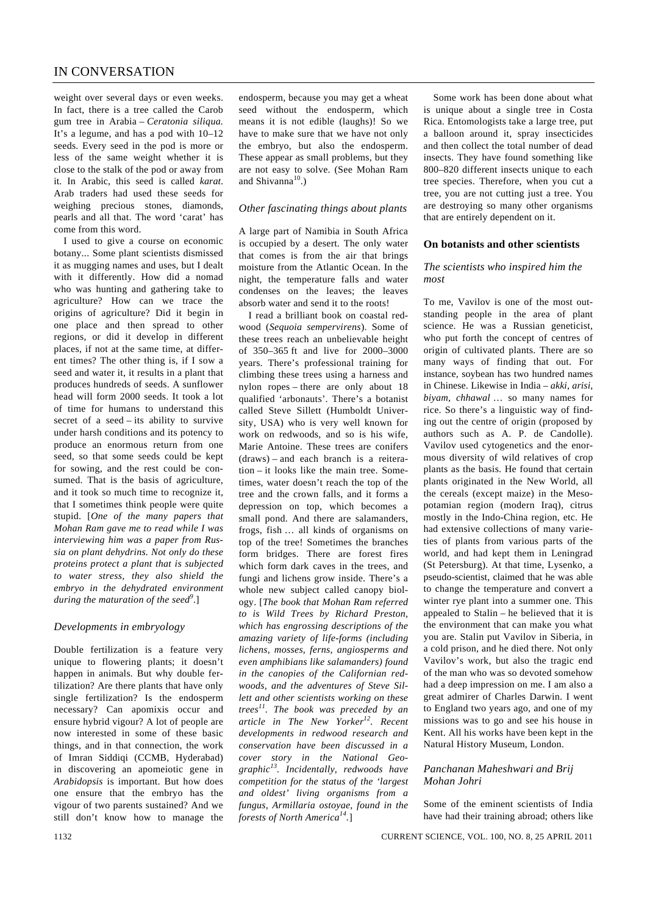# IN CONVERSATION

weight over several days or even weeks. In fact, there is a tree called the Carob gum tree in Arabia – *Ceratonia siliqua.*  It's a legume, and has a pod with 10–12 seeds. Every seed in the pod is more or less of the same weight whether it is close to the stalk of the pod or away from it. In Arabic, this seed is called *karat*. Arab traders had used these seeds for weighing precious stones, diamonds, pearls and all that. The word 'carat' has come from this word.

 I used to give a course on economic botany... Some plant scientists dismissed it as mugging names and uses, but I dealt with it differently. How did a nomad who was hunting and gathering take to agriculture? How can we trace the origins of agriculture? Did it begin in one place and then spread to other regions, or did it develop in different places, if not at the same time, at different times? The other thing is, if I sow a seed and water it, it results in a plant that produces hundreds of seeds. A sunflower head will form 2000 seeds. It took a lot of time for humans to understand this secret of a seed – its ability to survive under harsh conditions and its potency to produce an enormous return from one seed, so that some seeds could be kept for sowing, and the rest could be consumed. That is the basis of agriculture, and it took so much time to recognize it, that I sometimes think people were quite stupid. [*One of the many papers that Mohan Ram gave me to read while I was interviewing him was a paper from Russia on plant dehydrins. Not only do these proteins protect a plant that is subjected to water stress, they also shield the embryo in the dehydrated environment during the maturation of the seed<sup>9</sup>* .]

#### *Developments in embryology*

Double fertilization is a feature very unique to flowering plants; it doesn't happen in animals. But why double fertilization? Are there plants that have only single fertilization? Is the endosperm necessary? Can apomixis occur and ensure hybrid vigour? A lot of people are now interested in some of these basic things, and in that connection, the work of Imran Siddiqi (CCMB, Hyderabad) in discovering an apomeiotic gene in *Arabidopsis* is important. But how does one ensure that the embryo has the vigour of two parents sustained? And we still don't know how to manage the endosperm, because you may get a wheat seed without the endosperm, which means it is not edible (laughs)! So we have to make sure that we have not only the embryo, but also the endosperm. These appear as small problems, but they are not easy to solve. (See Mohan Ram and Shivanna<sup>10</sup>.)

## *Other fascinating things about plants*

A large part of Namibia in South Africa is occupied by a desert. The only water that comes is from the air that brings moisture from the Atlantic Ocean. In the night, the temperature falls and water condenses on the leaves; the leaves absorb water and send it to the roots!

 I read a brilliant book on coastal redwood (*Sequoia sempervirens*). Some of these trees reach an unbelievable height of 350–365 ft and live for 2000–3000 years. There's professional training for climbing these trees using a harness and nylon ropes – there are only about 18 qualified 'arbonauts'. There's a botanist called Steve Sillett (Humboldt University, USA) who is very well known for work on redwoods, and so is his wife, Marie Antoine. These trees are conifers (draws) – and each branch is a reiteration – it looks like the main tree. Sometimes, water doesn't reach the top of the tree and the crown falls, and it forms a depression on top, which becomes a small pond. And there are salamanders, frogs, fish … all kinds of organisms on top of the tree! Sometimes the branches form bridges. There are forest fires which form dark caves in the trees, and fungi and lichens grow inside. There's a whole new subject called canopy biology. [*The book that Mohan Ram referred to is Wild Trees by Richard Preston, which has engrossing descriptions of the amazing variety of life-forms (including lichens, mosses, ferns, angiosperms and even amphibians like salamanders) found in the canopies of the Californian redwoods, and the adventures of Steve Sillett and other scientists working on these trees11. The book was preceded by an article in The New Yorker12. Recent developments in redwood research and conservation have been discussed in a cover story in the National Geographic13. Incidentally, redwoods have competition for the status of the 'largest and oldest' living organisms from a fungus, Armillaria ostoyae, found in the forests of North America14.*]

 Some work has been done about what is unique about a single tree in Costa Rica. Entomologists take a large tree, put a balloon around it, spray insecticides and then collect the total number of dead insects. They have found something like 800–820 different insects unique to each tree species. Therefore, when you cut a tree, you are not cutting just a tree. You are destroying so many other organisms that are entirely dependent on it.

#### **On botanists and other scientists**

#### *The scientists who inspired him the most*

To me, Vavilov is one of the most outstanding people in the area of plant science. He was a Russian geneticist, who put forth the concept of centres of origin of cultivated plants. There are so many ways of finding that out. For instance, soybean has two hundred names in Chinese. Likewise in India – *akki*, *arisi*, *biyam*, *chhawal* … so many names for rice. So there's a linguistic way of finding out the centre of origin (proposed by authors such as A. P. de Candolle). Vavilov used cytogenetics and the enormous diversity of wild relatives of crop plants as the basis. He found that certain plants originated in the New World, all the cereals (except maize) in the Mesopotamian region (modern Iraq), citrus mostly in the Indo-China region, etc. He had extensive collections of many varieties of plants from various parts of the world, and had kept them in Leningrad (St Petersburg). At that time, Lysenko, a pseudo-scientist, claimed that he was able to change the temperature and convert a winter rye plant into a summer one. This appealed to Stalin – he believed that it is the environment that can make you what you are. Stalin put Vavilov in Siberia, in a cold prison, and he died there. Not only Vavilov's work, but also the tragic end of the man who was so devoted somehow had a deep impression on me. I am also a great admirer of Charles Darwin. I went to England two years ago, and one of my missions was to go and see his house in Kent. All his works have been kept in the Natural History Museum, London.

#### *Panchanan Maheshwari and Brij Mohan Johri*

Some of the eminent scientists of India have had their training abroad; others like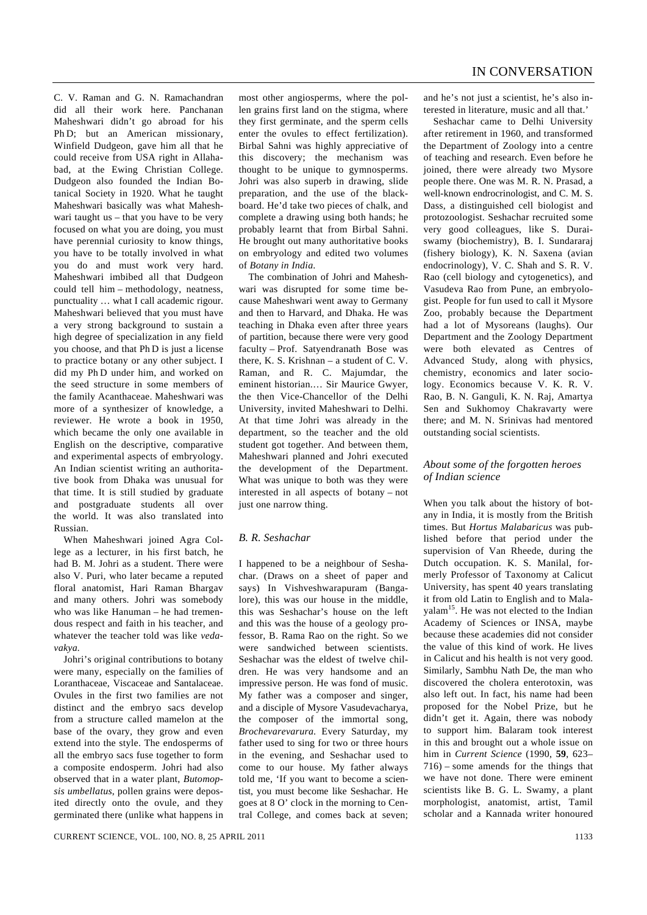C. V. Raman and G. N. Ramachandran did all their work here. Panchanan Maheshwari didn't go abroad for his Ph D; but an American missionary, Winfield Dudgeon, gave him all that he could receive from USA right in Allahabad, at the Ewing Christian College. Dudgeon also founded the Indian Botanical Society in 1920. What he taught Maheshwari basically was what Maheshwari taught us – that you have to be very focused on what you are doing, you must have perennial curiosity to know things, you have to be totally involved in what you do and must work very hard. Maheshwari imbibed all that Dudgeon could tell him – methodology, neatness, punctuality … what I call academic rigour. Maheshwari believed that you must have a very strong background to sustain a high degree of specialization in any field you choose, and that Ph D is just a license to practice botany or any other subject. I did my Ph D under him, and worked on the seed structure in some members of the family Acanthaceae. Maheshwari was more of a synthesizer of knowledge, a reviewer. He wrote a book in 1950, which became the only one available in English on the descriptive, comparative and experimental aspects of embryology. An Indian scientist writing an authoritative book from Dhaka was unusual for that time. It is still studied by graduate and postgraduate students all over the world. It was also translated into Russian.

 When Maheshwari joined Agra College as a lecturer, in his first batch, he had B. M. Johri as a student. There were also V. Puri, who later became a reputed floral anatomist, Hari Raman Bhargav and many others. Johri was somebody who was like Hanuman – he had tremendous respect and faith in his teacher, and whatever the teacher told was like *vedavakya.*

 Johri's original contributions to botany were many, especially on the families of Loranthaceae, Viscaceae and Santalaceae. Ovules in the first two families are not distinct and the embryo sacs develop from a structure called mamelon at the base of the ovary, they grow and even extend into the style. The endosperms of all the embryo sacs fuse together to form a composite endosperm. Johri had also observed that in a water plant, *Butomopsis umbellatus*, pollen grains were deposited directly onto the ovule, and they germinated there (unlike what happens in

most other angiosperms, where the pollen grains first land on the stigma, where they first germinate, and the sperm cells enter the ovules to effect fertilization). Birbal Sahni was highly appreciative of this discovery; the mechanism was thought to be unique to gymnosperms. Johri was also superb in drawing, slide preparation, and the use of the blackboard. He'd take two pieces of chalk, and complete a drawing using both hands; he probably learnt that from Birbal Sahni. He brought out many authoritative books on embryology and edited two volumes of *Botany in India*.

 The combination of Johri and Maheshwari was disrupted for some time because Maheshwari went away to Germany and then to Harvard, and Dhaka. He was teaching in Dhaka even after three years of partition, because there were very good faculty – Prof. Satyendranath Bose was there, K. S. Krishnan – a student of C. V. Raman, and R. C. Majumdar, the eminent historian.… Sir Maurice Gwyer, the then Vice-Chancellor of the Delhi University, invited Maheshwari to Delhi. At that time Johri was already in the department, so the teacher and the old student got together. And between them, Maheshwari planned and Johri executed the development of the Department. What was unique to both was they were interested in all aspects of botany – not just one narrow thing.

#### *B. R. Seshachar*

I happened to be a neighbour of Seshachar. (Draws on a sheet of paper and says) In Vishveshwarapuram (Bangalore), this was our house in the middle, this was Seshachar's house on the left and this was the house of a geology professor, B. Rama Rao on the right. So we were sandwiched between scientists. Seshachar was the eldest of twelve children. He was very handsome and an impressive person. He was fond of music. My father was a composer and singer, and a disciple of Mysore Vasudevacharya, the composer of the immortal song, *Brochevarevarura*. Every Saturday, my father used to sing for two or three hours in the evening, and Seshachar used to come to our house. My father always told me, 'If you want to become a scientist, you must become like Seshachar. He goes at 8 O' clock in the morning to Central College, and comes back at seven;

and he's not just a scientist, he's also interested in literature, music and all that.'

 Seshachar came to Delhi University after retirement in 1960, and transformed the Department of Zoology into a centre of teaching and research. Even before he joined, there were already two Mysore people there. One was M. R. N. Prasad, a well-known endrocrinologist, and C. M. S. Dass, a distinguished cell biologist and protozoologist. Seshachar recruited some very good colleagues, like S. Duraiswamy (biochemistry), B. I. Sundararaj (fishery biology), K. N. Saxena (avian endocrinology), V. C. Shah and S. R. V. Rao (cell biology and cytogenetics), and Vasudeva Rao from Pune, an embryologist. People for fun used to call it Mysore Zoo, probably because the Department had a lot of Mysoreans (laughs). Our Department and the Zoology Department were both elevated as Centres of Advanced Study, along with physics, chemistry, economics and later sociology. Economics because V. K. R. V. Rao, B. N. Ganguli, K. N. Raj, Amartya Sen and Sukhomoy Chakravarty were there; and M. N. Srinivas had mentored outstanding social scientists.

#### *About some of the forgotten heroes of Indian science*

When you talk about the history of botany in India, it is mostly from the British times. But *Hortus Malabaricus* was published before that period under the supervision of Van Rheede, during the Dutch occupation. K. S. Manilal, formerly Professor of Taxonomy at Calicut University, has spent 40 years translating it from old Latin to English and to Malayalam<sup>15</sup>. He was not elected to the Indian Academy of Sciences or INSA, maybe because these academies did not consider the value of this kind of work. He lives in Calicut and his health is not very good. Similarly, Sambhu Nath De, the man who discovered the cholera enterotoxin, was also left out. In fact, his name had been proposed for the Nobel Prize, but he didn't get it. Again, there was nobody to support him. Balaram took interest in this and brought out a whole issue on him in *Current Science* (1990, **59**, 623– 716) – some amends for the things that we have not done. There were eminent scientists like B. G. L. Swamy, a plant morphologist, anatomist, artist, Tamil scholar and a Kannada writer honoured